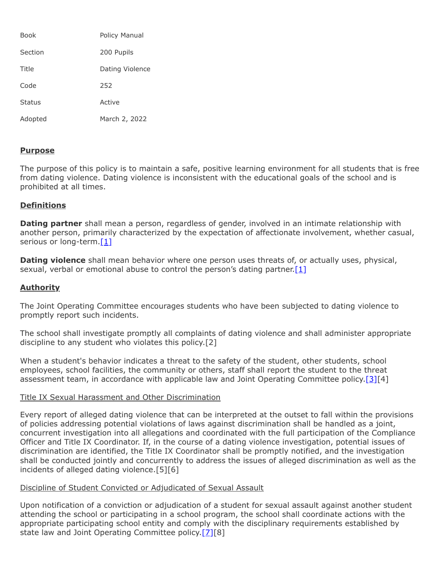| Book          | Policy Manual   |
|---------------|-----------------|
| Section       | 200 Pupils      |
| Title         | Dating Violence |
| Code          | 252             |
| <b>Status</b> | Active          |
| Adopted       | March 2, 2022   |

# **Purpose**

The purpose of this policy is to maintain a safe, positive learning environment for all students that is free from dating violence. Dating violence is inconsistent with the educational goals of the school and is prohibited at all times.

# **Definitions**

**Dating partner** shall mean a person, regardless of gender, involved in an intimate relationship with another person, primarily characterized by the expectation of affectionate involvement, whether casual, serious or long-term. $[1]$ 

**Dating violence** shall mean behavior where one person uses threats of, or actually uses, physical, sexual, verbal or emotional abuse to control the person's dating partner. [\[1\]](http://www.legis.state.pa.us/cfdocs/legis/LI/uconsCheck.cfm?txtType=HTM&yr=1949&sessInd=0&smthLwInd=0&act=14&chpt=15&sctn=53&subsctn=0)

### **Authority**

The Joint Operating Committee encourages students who have been subjected to dating violence to promptly report such incidents.

The school shall investigate promptly all complaints of dating violence and shall administer appropriate discipline to any student who violates this policy.[2]

When a student's behavior indicates a threat to the safety of the student, other students, school employees, school facilities, the community or others, staff shall report the student to the threat assessment team, in accordance with applicable law and Joint Operating Committee policy.<sup>[3][4]</sup>

#### Title IX Sexual Harassment and Other Discrimination

Every report of alleged dating violence that can be interpreted at the outset to fall within the provisions of policies addressing potential violations of laws against discrimination shall be handled as a joint, concurrent investigation into all allegations and coordinated with the full participation of the Compliance Officer and Title IX Coordinator. If, in the course of a dating violence investigation, potential issues of discrimination are identified, the Title IX Coordinator shall be promptly notified, and the investigation shall be conducted jointly and concurrently to address the issues of alleged discrimination as well as the incidents of alleged dating violence.[5][6]

### Discipline of Student Convicted or Adjudicated of Sexual Assault

Upon notification of a conviction or adjudication of a student for sexual assault against another student attending the school or participating in a school program, the school shall coordinate actions with the appropriate participating school entity and comply with the disciplinary requirements established by state law and Joint Operating Committee policy.[\[7\]](https://www.legis.state.pa.us/cfdocs/legis/LI/uconsCheck.cfm?txtType=HTM&yr=1949&sessInd=0&smthLwInd=0&act=14&chpt=13&sctn=18&subsctn=1)[8]